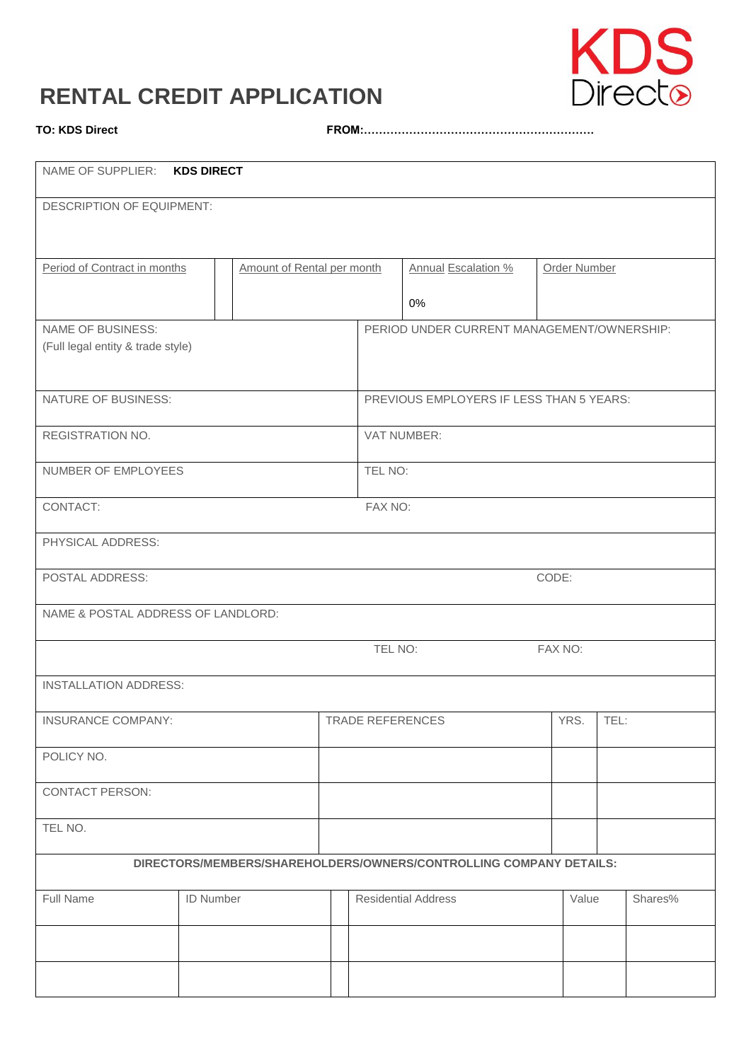# **RENTAL CREDIT APPLICATION**



**TO: KDS Direct FROM:…………………………………………………….**

| NAME OF SUPPLIER: KDS DIRECT                                       |                  |                            |                                          |                                            |                            |              |              |  |         |
|--------------------------------------------------------------------|------------------|----------------------------|------------------------------------------|--------------------------------------------|----------------------------|--------------|--------------|--|---------|
| DESCRIPTION OF EQUIPMENT:                                          |                  |                            |                                          |                                            |                            |              |              |  |         |
|                                                                    |                  |                            |                                          |                                            |                            |              |              |  |         |
| Period of Contract in months                                       |                  | Amount of Rental per month |                                          | Annual Escalation %                        |                            | Order Number |              |  |         |
|                                                                    |                  |                            |                                          |                                            | 0%                         |              |              |  |         |
| <b>NAME OF BUSINESS:</b><br>(Full legal entity & trade style)      |                  |                            |                                          | PERIOD UNDER CURRENT MANAGEMENT/OWNERSHIP: |                            |              |              |  |         |
|                                                                    |                  |                            |                                          |                                            |                            |              |              |  |         |
| NATURE OF BUSINESS:                                                |                  |                            | PREVIOUS EMPLOYERS IF LESS THAN 5 YEARS: |                                            |                            |              |              |  |         |
| REGISTRATION NO.                                                   |                  |                            | VAT NUMBER:                              |                                            |                            |              |              |  |         |
| NUMBER OF EMPLOYEES                                                |                  |                            |                                          | TEL NO:                                    |                            |              |              |  |         |
| CONTACT:<br>FAX NO:                                                |                  |                            |                                          |                                            |                            |              |              |  |         |
| PHYSICAL ADDRESS:                                                  |                  |                            |                                          |                                            |                            |              |              |  |         |
| POSTAL ADDRESS:                                                    |                  |                            |                                          |                                            | CODE:                      |              |              |  |         |
| NAME & POSTAL ADDRESS OF LANDLORD:                                 |                  |                            |                                          |                                            |                            |              |              |  |         |
|                                                                    |                  |                            |                                          |                                            | TEL NO:<br>FAX NO:         |              |              |  |         |
| <b>INSTALLATION ADDRESS:</b>                                       |                  |                            |                                          |                                            |                            |              |              |  |         |
| INSURANCE COMPANY:                                                 |                  |                            | TRADE REFERENCES                         |                                            |                            |              | YRS.<br>TEL: |  |         |
| POLICY NO.                                                         |                  |                            |                                          |                                            |                            |              |              |  |         |
| <b>CONTACT PERSON:</b>                                             |                  |                            |                                          |                                            |                            |              |              |  |         |
| TEL NO.                                                            |                  |                            |                                          |                                            |                            |              |              |  |         |
| DIRECTORS/MEMBERS/SHAREHOLDERS/OWNERS/CONTROLLING COMPANY DETAILS: |                  |                            |                                          |                                            |                            |              |              |  |         |
| Full Name                                                          | <b>ID Number</b> |                            |                                          |                                            | <b>Residential Address</b> |              | Value        |  | Shares% |
|                                                                    |                  |                            |                                          |                                            |                            |              |              |  |         |
|                                                                    |                  |                            |                                          |                                            |                            |              |              |  |         |